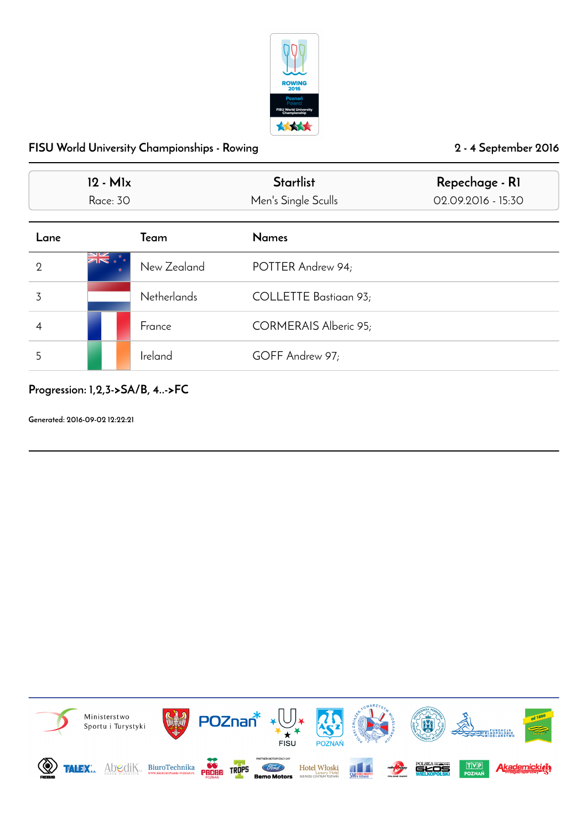

|                | $12 - M1x$<br>Race: 30 |                    | <b>Startlist</b><br>Men's Single Sculls | Repechage - RI<br>02.09.2016 - 15:30 |
|----------------|------------------------|--------------------|-----------------------------------------|--------------------------------------|
| Lane           |                        | <b>T</b> eam       | <b>Names</b>                            |                                      |
| $\overline{2}$ | तं∗ **                 | New Zealand        | POTTER Andrew 94;                       |                                      |
| 3              |                        | <b>Netherlands</b> | COLLETTE Bastiaan 93;                   |                                      |
| 4              |                        | France             | CORMERAIS Alberic 95;                   |                                      |
| 5              |                        | Ireland            | GOFF Andrew 97;                         |                                      |

Progression: 1,2,3->SA/B, 4..->FC

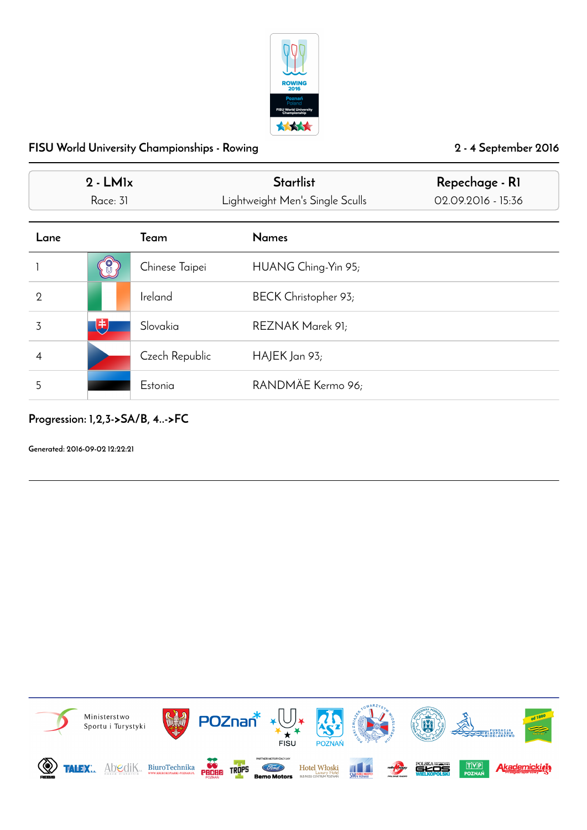

|                | $2 - LMx$<br>Race: 31 |                | <b>Startlist</b><br>Lightweight Men's Single Sculls | Repechage - RI<br>02.09.2016 - 15:36 |
|----------------|-----------------------|----------------|-----------------------------------------------------|--------------------------------------|
| Lane           |                       | Team           | <b>Names</b>                                        |                                      |
|                |                       | Chinese Taipei | HUANG Ching-Yin 95;                                 |                                      |
| $\overline{2}$ |                       | Ireland        | BECK Christopher 93;                                |                                      |
| 3              | 电                     | Slovakia       | REZNAK Marek 91;                                    |                                      |
| 4              |                       | Czech Republic | $HAJEK$ Jan 93;                                     |                                      |
| 5              |                       | Estonia        | RANDMÄE Kermo 96;                                   |                                      |

## Progression: 1,2,3->SA/B, 4..->FC

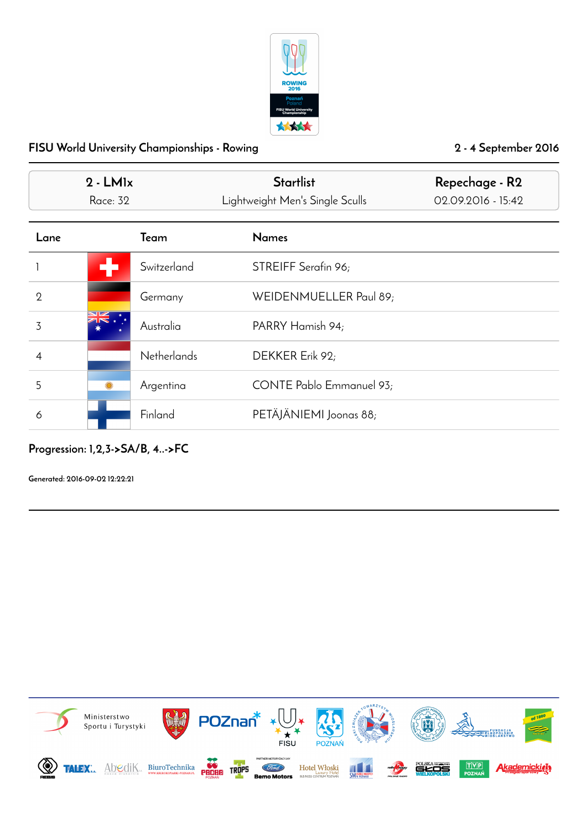

|              | $2 - LMx$<br>Race: 32 |                    | <b>Startlist</b><br>Lightweight Men's Single Sculls | Repechage - R2<br>02.09.2016 - 15:42 |
|--------------|-----------------------|--------------------|-----------------------------------------------------|--------------------------------------|
| Lane         |                       | Team               | <b>Names</b>                                        |                                      |
|              |                       | Switzerland        | STREIFF Serafin 96;                                 |                                      |
| $\mathbf{2}$ |                       | Germany            | WEIDENMUELLER Paul 89;                              |                                      |
| 3            |                       | Australia          | PARRY Hamish 94;                                    |                                      |
| 4            |                       | <b>Netherlands</b> | DEKKER Erik 92;                                     |                                      |
| 5            |                       | Argentina          | CONTE Pablo Emmanuel 93;                            |                                      |
| 6            |                       | Finland            | PETÄJÄNIEMI Joonas 88;                              |                                      |

# Progression: 1,2,3->SA/B, 4..->FC